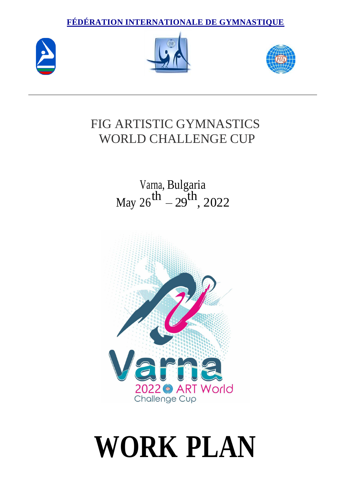**FÉDÉRATION INTERNATIONALE DE GYMNASTIQUE**







# FIG ARTISTIC GYMNASTICS WORLD CHALLENGE CUP

#### Varna, Bulgaria May 26 th – 29 th , 2022



# **WORK PLAN**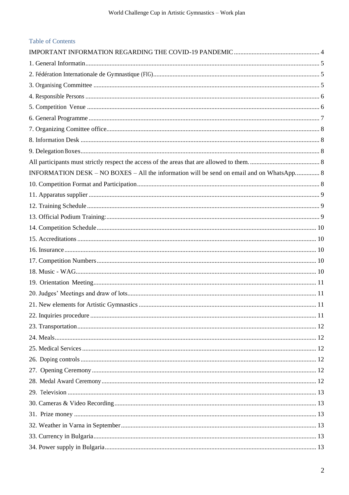| <b>Table of Contents</b>                                                                  |  |
|-------------------------------------------------------------------------------------------|--|
|                                                                                           |  |
|                                                                                           |  |
|                                                                                           |  |
|                                                                                           |  |
|                                                                                           |  |
|                                                                                           |  |
|                                                                                           |  |
|                                                                                           |  |
|                                                                                           |  |
|                                                                                           |  |
|                                                                                           |  |
| INFORMATION DESK – NO BOXES – All the information will be send on email and on WhatsApp 8 |  |
|                                                                                           |  |
|                                                                                           |  |
|                                                                                           |  |
|                                                                                           |  |
|                                                                                           |  |
|                                                                                           |  |
|                                                                                           |  |
|                                                                                           |  |
|                                                                                           |  |
|                                                                                           |  |
|                                                                                           |  |
|                                                                                           |  |
|                                                                                           |  |
|                                                                                           |  |
|                                                                                           |  |
|                                                                                           |  |
|                                                                                           |  |
|                                                                                           |  |
|                                                                                           |  |
|                                                                                           |  |
|                                                                                           |  |
|                                                                                           |  |
|                                                                                           |  |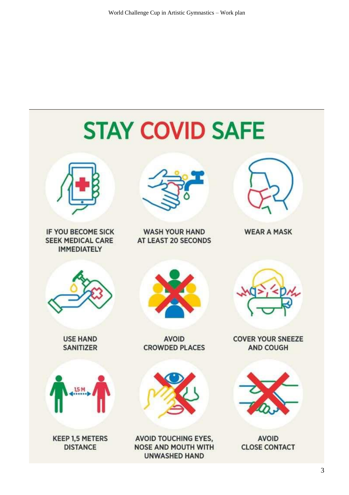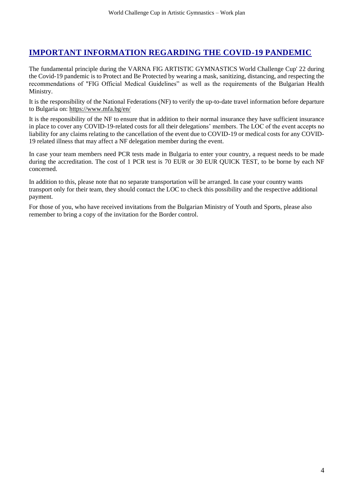# <span id="page-3-0"></span>**IMPORTANT INFORMATION REGARDING THE COVID-19 PANDEMIC**

The fundamental principle during the VARNA FIG ARTISTIC GYMNASTICS World Challenge Cup' 22 during the Covid-19 pandemic is to Protect and Be Protected by wearing a mask, sanitizing, distancing, and respecting the recommendations of "FIG Official Medical Guidelines" as well as the requirements of the Bulgarian Health Ministry.

It is the responsibility of the National Federations (NF) to verify the up-to-date travel information before departure to Bulgaria on:<https://www.mfa.bg/en/>

It is the responsibility of the NF to ensure that in addition to their normal insurance they have sufficient insurance in place to cover any COVID-19-related costs for all their delegations' members. The LOC of the event accepts no liability for any claims relating to the cancellation of the event due to COVID-19 or medical costs for any COVID-19 related illness that may affect a NF delegation member during the event.

In case your team members need PCR tests made in Bulgaria to enter your country, a request needs to be made during the accreditation. The cost of 1 PCR test is 70 EUR or 30 EUR QUICK TEST, to be borne by each NF concerned.

In addition to this, please note that no separate transportation will be arranged. In case your country wants transport only for their team, they should contact the LOC to check this possibility and the respective additional payment.

<span id="page-3-1"></span>For those of you, who have received invitations from the Bulgarian Ministry of Youth and Sports, please also remember to bring a copy of the invitation for the Border control.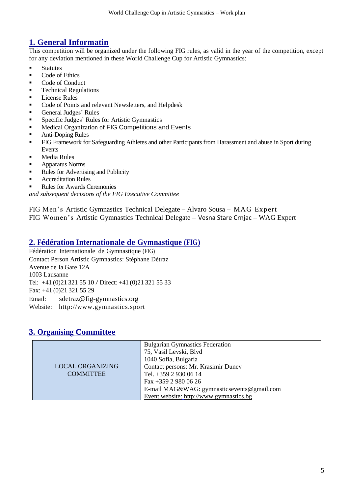# **1. General Informatin**

This competition will be organized under the following FIG rules, as valid in the year of the competition, except for any deviation mentioned in these World Challenge Cup for Artistic Gymnastics:

- Statutes
- Code of Ethics
- Code of Conduct
- **•** Technical Regulations
- License Rules
- Code of Points and relevant Newsletters, and Helpdesk
- General Judges' Rules
- Specific Judges' Rules for Artistic Gymnastics
- Medical Organization of FIG Competitions and Events
- **Anti-Doping Rules**
- FIG Framework for Safeguarding Athletes and other Participants from Harassment and abuse in Sport during Events
- Media Rules
- **Apparatus Norms**
- Rules for Advertising and Publicity
- **Accreditation Rules**
- Rules for Awards Ceremonies

*and subsequent decisions of the FIG Executive Committee*

FIG Men's Artistic Gymnastics Technical Delegate – Alvaro Sousa – MAG Expert FIG Women's Artistic Gymnastics Technical Delegate – Vesna Stare Crnjac – WAG Expert

#### <span id="page-4-0"></span>**2. Fédération Internationale de Gymnastique (FIG)**

Fédération Internationale de Gymnastique (FIG) Contact Person Artistic Gymnastics: Stéphane Détraz Avenue de la Gare 12A 1003 Lausanne Tel: +41 (0)21 321 55 10 / Direct: +41 (0)21 321 55 33 Fax: +41 (0)21 321 55 29 Email: sdetraz@fig-gymnastics.org Website: http://www.gymnastics.sport

### <span id="page-4-1"></span>**3. Organising Committee**

|                         | <b>Bulgarian Gymnastics Federation</b>     |
|-------------------------|--------------------------------------------|
|                         | 75, Vasil Levski, Blvd                     |
|                         | 1040 Sofia, Bulgaria                       |
| <b>LOCAL ORGANIZING</b> | Contact persons: Mr. Krasimir Dunev        |
| <b>COMMITTEE</b>        | Tel. +359 2 930 06 14                      |
|                         | Fax +359 2 980 06 26                       |
|                         | E-mail MAG&WAG: gymnasticsevents@gmail.com |
|                         | Event website: http://www.gymnastics.bg    |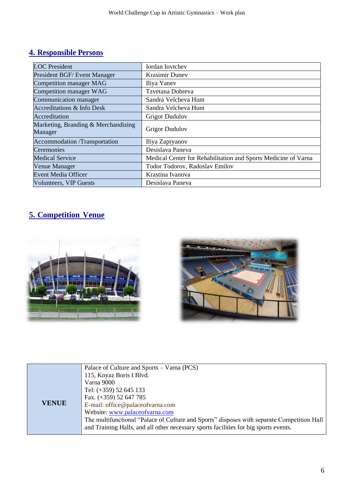# <span id="page-5-0"></span>**4. Responsible Persons**

| <b>LOC</b> President                           | <b>Iordan Iovtchev</b>                                         |
|------------------------------------------------|----------------------------------------------------------------|
| President BGF/ Event Manager                   | <b>Krasimir Dunev</b>                                          |
| <b>Competition manager MAG</b>                 | Iliya Yanev                                                    |
| Competition manager WAG                        | Tzvetana Dobreva                                               |
| Communication manager                          | Sandra Velcheva Hunt                                           |
| <b>Accreditations &amp; Info Desk</b>          | Sandra Velcheva Hunt                                           |
| Accreditation                                  | <b>Grigor Dudulov</b>                                          |
| Marketing, Branding & Merchandizing<br>Manager | <b>Grigor Dudulov</b>                                          |
| <b>Accommodation</b> /Transportation           | Iliya Zapryanov                                                |
| Ceremonies                                     | Desislava Paneva                                               |
| <b>Medical Service</b>                         | Medical Center for Rehabilitation and Sports Medicine of Varna |
| Venue Manager                                  | Todor Todorov, Radoslav Emilov                                 |
| <b>Event Media Officer</b>                     | Krastina Ivanova                                               |
| <b>Volunteers, VIP Guests</b>                  | Desislava Paneva                                               |

# <span id="page-5-1"></span>**5. Competition Venue**





|              | Palace of Culture and Sports – Varna (PCS)                                                 |  |  |
|--------------|--------------------------------------------------------------------------------------------|--|--|
|              | 115, Knyaz Boris I Blvd.                                                                   |  |  |
|              | Varna 9000                                                                                 |  |  |
|              | Tel: $(+359)$ 52 645 133                                                                   |  |  |
|              | Fax. $(+359)$ 52 647 785                                                                   |  |  |
| <b>VENUE</b> | E-mail: office@palaceofvarna.com                                                           |  |  |
|              | Website: www.palaceofvarna.com                                                             |  |  |
|              | The multifunctional "Palace of Culture and Sports" disposes with separate Competition Hall |  |  |
|              | and Training Halls, and all other necessary sports facilities for big sports events.       |  |  |
|              |                                                                                            |  |  |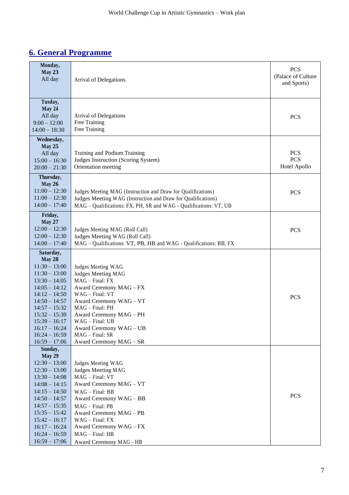# <span id="page-6-0"></span>**6. General Programme**

| Monday,<br>May 23<br>All day                                                                                                                                                                                                                                 | Arrival of Delegations                                                                                                                                                                                                                                                               | <b>PCS</b><br>(Palace of Culture<br>and Sports) |
|--------------------------------------------------------------------------------------------------------------------------------------------------------------------------------------------------------------------------------------------------------------|--------------------------------------------------------------------------------------------------------------------------------------------------------------------------------------------------------------------------------------------------------------------------------------|-------------------------------------------------|
| Tusday,<br>May 24<br>All day<br>$9:00 - 12:00$<br>$14:00 - 18:30$                                                                                                                                                                                            | Arrival of Delegations<br>Free Training<br>Free Training                                                                                                                                                                                                                             | <b>PCS</b>                                      |
| Wednesday,<br><b>May 25</b><br>All day<br>$15:00 - 16:30$<br>$20:00 - 21:30$                                                                                                                                                                                 | Training and Podium Training<br>Judges Instruction (Scoring System)<br>Orientation meeting                                                                                                                                                                                           | <b>PCS</b><br><b>PCS</b><br>Hotel Apollo        |
| Thursday,<br><b>May 26</b><br>$11:00 - 12:30$<br>$11:00 - 12:30$<br>$14:00 - 17:40$                                                                                                                                                                          | Judges Meeting MAG (Instruction and Draw for Qualifications)<br>Judges Meeting WAG (Instruction and Draw for Qualifications)<br>MAG - Qualifications: FX, PH, SR and WAG - Qualifications: VT, UB                                                                                    | <b>PCS</b>                                      |
| Friday,<br><b>May 27</b><br>$12:00 - 12:30$<br>$12:00 - 12:30$<br>$14:00 - 17:40$                                                                                                                                                                            | Judges Meeting MAG (Roll Call)<br>Judges Meeting WAG (Roll Call)<br>MAG - Qualifications: VT, PB, HB and WAG - Qualifications: BB, FX                                                                                                                                                | <b>PCS</b>                                      |
| Saturday,<br>May 28<br>$11:30 - 13:00$<br>$11:30 - 13:00$<br>$13:30 - 14:05$<br>$14:05 - 14:12$<br>$14:12 - 14:50$<br>$14:50 - 14:57$<br>$14:57 - 15:32$<br>$15:32 - 15:39$<br>$15:39 - 16:17$<br>$16:17 - 16:24$<br>$16:24 - 16:59$<br>$16:59 - 17:06$      | Judges Meeting WAG<br>Judges Meeting MAG<br>$MAG - Final: FX$<br>Award Ceremony MAG - FX<br>WAG - Final: VT<br>Award Ceremony WAG - VT<br>MAG - Final: PH<br>Award Ceremony MAG - PH<br>WAG - Final: UB<br>Award Ceremony WAG - UB<br>$MAG - Final: SR$<br>Award Ceremony MAG - SR   | <b>PCS</b>                                      |
| Sunday,<br><b>May 29</b><br>$12:30 - 13:00$<br>$12:30 - 13:00$<br>$13:30 - 14:08$<br>$14:08 - 14:15$<br>$14:15 - 14:50$<br>$14:50 - 14:57$<br>$14:57 - 15:35$<br>$15:35 - 15:42$<br>$15:42 - 16:17$<br>$16:17 - 16:24$<br>$16:24 - 16:59$<br>$16:59 - 17:06$ | Judges Meeting WAG<br>Judges Meeting MAG<br>MAG - Final: VT<br>Award Ceremony MAG - VT<br>$WAG - Final: BB$<br>Award Ceremony WAG - BB<br>$MAG - Final: PB$<br>Award Ceremony MAG - PB<br>WAG - Final: FX<br>Award Ceremony WAG - FX<br>$MAG - Final: HB$<br>Award Ceremony MAG - HB | <b>PCS</b>                                      |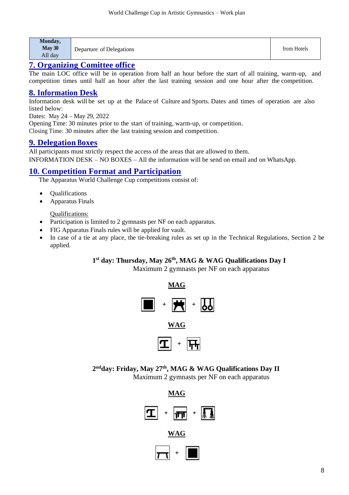| Monday,<br>May 30 | Departure of Delegations | from Hotels |
|-------------------|--------------------------|-------------|
| All day           |                          |             |

#### <span id="page-7-0"></span>**7. Organizing Comittee office**

The main LOC office will be in operation from half an hour before the start of all training, warm-up, and competition times until half an hour after the last training session and one hour after the competition.

#### <span id="page-7-1"></span>**8. Information Desk**

Information desk will be set up at the Palace of Culture and Sports. Dates and times of operation are also listed below:

Dates: May 24 – May 29, 2022

Opening Time: 30 minutes prior to the start of training, warm-up, or competition. Closing Time: 30 minutes after the last training session and competition.

#### <span id="page-7-2"></span>**9. Delegation Boxes**

<span id="page-7-4"></span><span id="page-7-3"></span>All participants must strictly respect the access of the areas that are allowed to them. INFORMATION DESK – NO BOXES – All the information will be send on email and on WhatsApp.

#### <span id="page-7-5"></span>**10. Competition Format and Participation**

The Apparatus World Challenge Cup competitions consist of:

- **Oualifications**
- Apparatus Finals

Qualifications:

- Participation is limited to 2 gymnasts per NF on each apparatus.
- FIG Apparatus Finals rules will be applied for vault.
- In case of a tie at any place, the tie-breaking rules as set up in the Technical Regulations, Section 2 be applied.

#### **1 st day: Thursday, May 26 th, MAG & WAG Qualifications Day I**

Maximum 2 gymnasts per NF on each apparatus





**WAG**



**2 ndday: Friday, May 27 th , MAG & WAG Qualifications Day II**

Maximum 2 gymnasts per NF on each apparatus



**WAG**

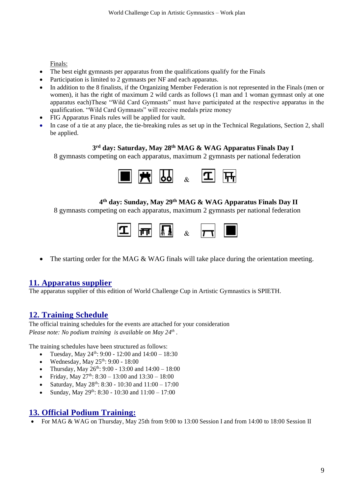Finals:

- The best eight gymnasts per apparatus from the qualifications qualify for the Finals
- Participation is limited to 2 gymnasts per NF and each apparatus.
- In addition to the 8 finalists, if the Organizing Member Federation is not represented in the Finals (men or women), it has the right of maximum 2 wild cards as follows (1 man and 1 woman gymnast only at one apparatus each)These "Wild Card Gymnasts" must have participated at the respective apparatus in the qualification. "Wild Card Gymnasts" will receive medals prize money
- FIG Apparatus Finals rules will be applied for vault.
- In case of a tie at any place, the tie-breaking rules as set up in the Technical Regulations, Section 2, shall be applied.

#### **3 rd day: Saturday, May 28 th MAG & WAG Apparatus Finals Day I**

8 gymnasts competing on each apparatus, maximum 2 gymnasts per national federation



#### **4 th day: Sunday, May 29th MAG & WAG Apparatus Finals Day II**

8 gymnasts competing on each apparatus, maximum 2 gymnasts per national federation



• The starting order for the MAG & WAG finals will take place during the orientation meeting.

#### <span id="page-8-0"></span>**11. Apparatus supplier**

The apparatus supplier of this edition of World Challenge Cup in Artistic Gymnastics is SPIETH.

# <span id="page-8-1"></span>**12. Training Schedule**

The official training schedules for the events are attached for your consideration *Please note: No podium training is available on May 24<sup>th</sup>.* 

The training schedules have been structured as follows:

- Tuesday, May  $24^{\text{th}}$ : 9:00 12:00 and 14:00 18:30
- Wednesday, May  $25^{th}$ : 9:00 18:00
- Thursday, May  $26^{th}$ : 9:00 13:00 and  $14:00 18:00$
- Friday, May  $27^{\text{th}}$ :  $8:30 13:00$  and  $13:30 18:00$
- Saturday, May  $28^{th}$ : 8:30 10:30 and 11:00 17:00
- Sunday, May  $29^{th}$ : 8:30 10:30 and  $11:00 17:00$

#### <span id="page-8-2"></span>**13. Official Podium Training:**

<span id="page-8-3"></span>• For MAG & WAG on Thursday, May 25th from 9:00 to 13:00 Session I and from 14:00 to 18:00 Session II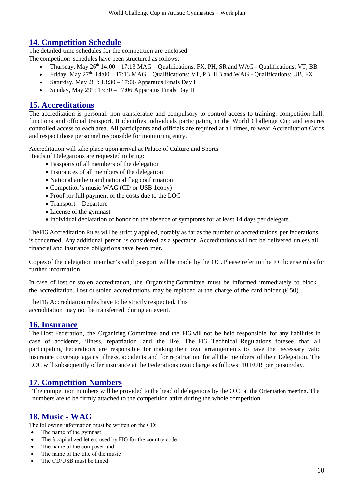# **14. Competition Schedule**

The detailed time schedules for the competition are enclosed The competition schedules have been structured as follows:

- Thursday, May  $26<sup>th</sup> 14:00 17:13 MAG Qualifications: FX, PH, SR and WAG Qualifications: VT, BB$
- Friday, May  $27<sup>th</sup>$ : 14:00 17:13 MAG Qualifications: VT, PB, HB and WAG Qualifications: UB, FX
- Saturday, May  $28^{th}$ : 13:30 17:06 Apparatus Finals Day I
- Sunday, May  $29^{th}$ : 13:30 17:06 Apparatus Finals Day II

#### <span id="page-9-0"></span>**15. Accreditations**

The accreditation is personal, non transferable and compulsory to control access to training, competition hall, functions and official transport. It identifies individuals participating in the World Challenge Cup and ensures controlled access to each area. All participants and officials are required at all times, to wear Accreditation Cards and respect those personnel responsible for monitoring entry.

Accreditation will take place upon arrival at Palace of Culture and Sports Heads of Delegations are requested to bring:

- Passports of all members of the delegation
- Insurances of all members of the delegation
- National anthem and national flag confirmation
- Competitor's music WAG (CD or USB 1copy)
- Proof for full payment of the costs due to the LOC
- Transport Departure
- License of the gymnast
- Individual declaration of honor on the absence of symptoms for at least 14 days per delegate.

The FIG Accreditation Rules will be strictly applied, notably as far as the number of accreditations per federations is concerned. Any additional person is considered as a spectator. Accreditations will not be delivered unless all financial and insurance obligations have been met.

Copies of the delegation member's valid passport will be made by the OC. Please refer to the FIG license rules for further information.

In case of lost or stolen accreditation, the Organising Committee must be informed immediately to block the accreditation. Lost or stolen accreditations may be replaced at the charge of the card holder ( $\epsilon$  50).

The FIG Accreditation rules have to be strictly respected. This accreditation may not be transferred during an event.

#### <span id="page-9-1"></span>**16. Insurance**

The Host Federation, the Organizing Committee and the FIG will not be held responsible for any liabilities in case of accidents, illness, repatriation and the like. The FIG Technical Regulations foresee that all participating Federations are responsible for making their own arrangements to have the necessary valid insurance coverage against illness, accidents and for repatriation for all the members of their Delegation. The LOC will subsequently offer insurance at the Federations own charge as follows: 10 EUR per person/day.

#### <span id="page-9-2"></span>**17. Competition Numbers**

The competition numbers will be provided to the head of delegetions by the O.C. at the Orientation meeting. The numbers are to be firmly attached to the competition attire during the whole competition.

#### <span id="page-9-3"></span>**18. Music - WAG**

The following information must be written on the CD:

- The name of the gymnast
- The 3 capitalized letters used by FIG for the country code
- The name of the composer and
- The name of the title of the music
- The CD/USB must be timed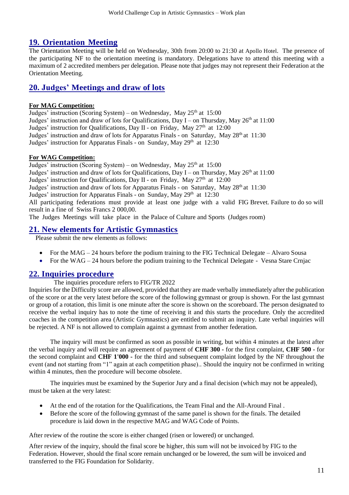# <span id="page-10-0"></span>**19. Orientation Meeting**

The Orientation Meeting will be held on Wednesday, 30th from 20:00 to 21:30 at Apollo Hotel. The presence of the participating NF to the orientation meeting is mandatory. Delegations have to attend this meeting with a maximum of 2 accredited members per delegation. Please note that judges may not represent their Federation at the Orientation Meeting.

# <span id="page-10-1"></span>**20. Judges' Meetings and draw of lots**

#### **For MAG Competition:**

Judges' instruction (Scoring System) – on Wednesday, May 25<sup>th</sup> at 15:00 Judges' instruction and draw of lots for Qualifications, Day I – on Thursday, May 26<sup>th</sup> at 11:00 Judges' instruction for Qualifications, Day II - on Friday, May 27<sup>th</sup> at 12:00 Judges' instruction and draw of lots for Apparatus Finals - on Saturday, May 28<sup>th</sup> at 11:30 Judges' instruction for Apparatus Finals - on Sunday, May 29th at 12:30

#### **For WAG Competition:**

Judges' instruction (Scoring System) – on Wednesday, May 25<sup>th</sup> at 15:00 Judges' instruction and draw of lots for Qualifications, Day I - on Thursday, May 26<sup>th</sup> at 11:00 Judges' instruction for Qualifications, Day II - on Friday, May 27<sup>th</sup> at 12:00 Judges' instruction and draw of lots for Apparatus Finals - on Saturday, May 28<sup>th</sup> at 11:30 Judges' instruction for Apparatus Finals - on Sunday, May 29th at 12:30 All participating federations must provide at least one judge with a valid FIG Brevet. Failure to do so will result in a fine of Swiss Francs 2 000,00.

The Judges Meetings will take place in the Palace of Culture and Sports (Judges room)

### <span id="page-10-2"></span>**21. New elements for Artistic Gymnastics**

Please submit the new elements as follows:

- For the MAG 24 hours before the podium training to the FIG Technical Delegate Alvaro Sousa
- For the WAG 24 hours before the podium training to the Technical Delegate Vesna Stare Crnjac

#### <span id="page-10-3"></span>**22. Inquiries procedure**

The inquiries procedure refers to FIG/TR 2022

Inquiries for the Difficulty score are allowed, provided that they are made verbally immediately after the publication of the score or at the very latest before the score of the following gymnast or group is shown. For the last gymnast or group of a rotation, this limit is one minute after the score is shown on the scoreboard. The person designated to receive the verbal inquiry has to note the time of receiving it and this starts the procedure. Only the accredited coaches in the competition area (Artistic Gymnastics) are entitled to submit an inquiry. Late verbal inquiries will be rejected. A NF is not allowed to complain against a gymnast from another federation.

The inquiry will must be confirmed as soon as possible in writing, but within 4 minutes at the latest after the verbal inquiry and will require an agreement of payment of **CHF 300 -** for the first complaint, **CHF 500 -** for the second complaint and **CHF 1'000 -** for the third and subsequent complaint lodged by the NF throughout the event (and not starting from "1" again at each competition phase).. Should the inquiry not be confirmed in writing within 4 minutes, then the procedure will become obsolete.

The inquiries must be examined by the Superior Jury and a final decision (which may not be appealed), must be taken at the very latest:

- At the end of the rotation for the Qualifications, the Team Final and the All-Around Final .
- Before the score of the following gymnast of the same panel is shown for the finals. The detailed procedure is laid down in the respective MAG and WAG Code of Points.

After review of the routine the score is either changed (risen or lowered) or unchanged.

After review of the inquiry, should the final score be higher, this sum will not be invoiced by FIG to the Federation. However, should the final score remain unchanged or be lowered, the sum will be invoiced and transferred to the FIG Foundation for Solidarity.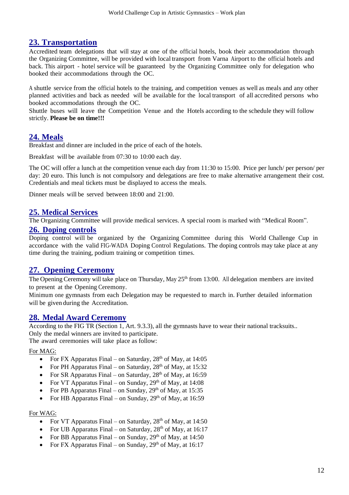#### <span id="page-11-0"></span>**23. Transportation**

Accredited team delegations that will stay at one of the official hotels, book their accommodation through the Organizing Committee, will be provided with local transport from Varna Airport to the official hotels and back. This airport - hotel service will be guaranteed by the Organizing Committee only for delegation who booked their accommodations through the OC.

A shuttle service from the official hotels to the training, and competition venues as well as meals and any other planned activities and back as needed will be available for the local transport of all accredited persons who booked accommodations through the OC.

Shuttle buses will leave the Competition Venue and the Hotels according to the schedule they will follow strictly. **Please be on time!!!**

#### <span id="page-11-1"></span>**24. Meals**

Breakfast and dinner are included in the price of each of the hotels.

Breakfast will be available from 07:30 to 10:00 each day.

The OC will offer a lunch at the competition venue each day from 11:30 to 15:00. Price per lunch/ per person/ per day: 20 euro. This lunch is not compulsory and delegations are free to make alternative arrangement their cost. Credentials and meal tickets must be displayed to access the meals.

Dinner meals will be served between 18:00 and 21:00.

#### <span id="page-11-2"></span>**25. Medical Services**

The Organizing Committee will provide medical services. A special room is marked with "Medical Room".

#### <span id="page-11-3"></span>**26. Doping controls**

Doping control will be organized by the Organizing Committee during this World Challenge Cup in accordance with the valid FIG-WADA Doping Control Regulations. The doping controls may take place at any time during the training, podium training or competition times.

#### <span id="page-11-4"></span>**27. Opening Ceremony**

The Opening Ceremony will take place on Thursday, May 25<sup>th</sup> from 13:00. All delegation members are invited to present at the Opening Ceremony.

Minimum one gymnasts from each Delegation may be requested to march in. Further detailed information will be given during the Accreditation.

#### <span id="page-11-5"></span>**28. Medal Award Ceremony**

According to the FIG TR (Section 1, Art. 9.3.3), all the gymnasts have to wear their national tracksuits.. Only the medal winners are invited to participate.

The award ceremonies will take place as follow:

#### For MAG:

- For FX Apparatus Final on Saturday, 28<sup>th</sup> of May, at 14:05
- For PH Apparatus Final on Saturday,  $28<sup>th</sup>$  of May, at 15:32
- For SR Apparatus Final on Saturday,  $28<sup>th</sup>$  of May, at 16:59
- For VT Apparatus Final on Sunday,  $29<sup>th</sup>$  of May, at 14:08
- For PB Apparatus Final on Sunday,  $29<sup>th</sup>$  of May, at 15:35
- For HB Apparatus Final on Sunday,  $29<sup>th</sup>$  of May, at 16:59

#### For WAG:

- For VT Apparatus Final on Saturday,  $28<sup>th</sup>$  of May, at 14:50
- For UB Apparatus Final on Saturday,  $28<sup>th</sup>$  of May, at 16:17
- For BB Apparatus Final on Sunday,  $29<sup>th</sup>$  of May, at 14:50
- <span id="page-11-6"></span>• For FX Apparatus Final – on Sunday,  $29<sup>th</sup>$  of May, at 16:17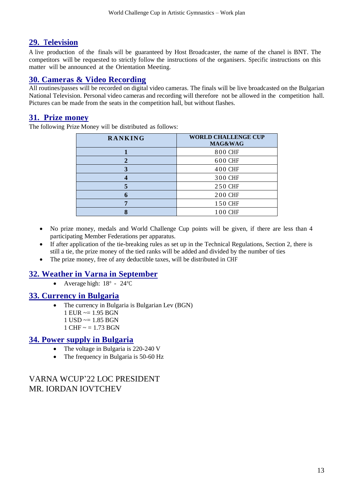## **29. Television**

A live production of the finals will be guaranteed by Host Broadcaster, the name of the chanel is BNT. The competitors will be requested to strictly follow the instructions of the organisers. Specific instructions on this matter will be announced at the Orientation Meeting.

## <span id="page-12-0"></span>**30. Cameras & Video Recording**

All routines/passes will be recorded on digital video cameras. The finals will be live broadcasted on the Bulgarian National Television. Personal video cameras and recording will therefore not be allowed in the competition hall. Pictures can be made from the seats in the competition hall, but without flashes.

### <span id="page-12-1"></span>**31. Prize money**

The following Prize Money will be distributed as follows:

| <b>RANKING</b> | <b>WORLD CHALLENGE CUP</b><br>MAG&WAG |
|----------------|---------------------------------------|
|                | 800 CHF                               |
| 2              | 600 CHF                               |
| 3              | 400 CHF                               |
|                | 300 CHF                               |
|                | 250 CHF                               |
| 6              | <b>200 CHF</b>                        |
| 7              | 150 CHF                               |
|                | 100 CHF                               |

- No prize money, medals and World Challenge Cup points will be given, if there are less than 4 participating Member Federations per apparatus.
- If after application of the tie-breaking rules as set up in the Technical Regulations, Section 2, there is still a tie, the prize money of the tied ranks will be added and divided by the number of ties
- The prize money, free of any deductible taxes, will be distributed in CHF

# <span id="page-12-2"></span>**32. Weather in Varna in September**

• Average high:  $18^\circ$  -  $24^\circ \text{C}$ 

#### <span id="page-12-3"></span>**33. Currency in Bulgaria**

- The currency in Bulgaria is Bulgarian Lev (BGN)
	- $1$  EUR  $\approx$  = 1.95 BGN
	- $1$  USD  $\approx$  1.85 BGN
	- $1$  CHF  $\sim$  = 1.73 BGN

### <span id="page-12-4"></span>**34. Power supply in Bulgaria**

- The voltage in Bulgaria is 220-240 V
- The frequency in Bulgaria is 50-60 Hz

# VARNA WCUP'22 LOC PRESIDENT MR. IORDAN IOVTCHEV